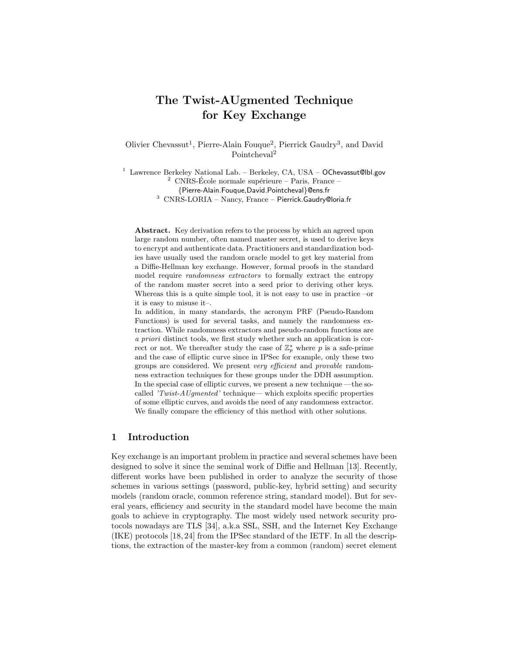# The Twist-AUgmented Technique for Key Exchange

Olivier Chevassut<sup>1</sup>, Pierre-Alain Fouque<sup>2</sup>, Pierrick Gaudry<sup>3</sup>, and David Pointcheval<sup>2</sup>

<sup>1</sup> Lawrence Berkeley National Lab. – Berkeley, CA, USA – OChevassut@lbl.gov <sup>2</sup> CNRS-École normale supérieure – Paris, France -<br>{Pierre-Alain.Fouque,David.Pointcheval}@ens.fr  $3$  CNRS-LORIA – Nancy, France – Pierrick.Gaudry@loria.fr

Abstract. Key derivation refers to the process by which an agreed upon large random number, often named master secret, is used to derive keys to encrypt and authenticate data. Practitioners and standardization bodies have usually used the random oracle model to get key material from a Diffie-Hellman key exchange. However, formal proofs in the standard model require *randomness* extractors to formally extract the entropy of the random master secret into a seed prior to deriving other keys. Whereas this is a quite simple tool, it is not easy to use in practice –or it is easy to misuse it–.

In addition, in many standards, the acronym PRF (Pseudo-Random Functions) is used for several tasks, and namely the randomness extraction. While randomness extractors and pseudo-random functions are a priori distinct tools, we first study whether such an application is correct or not. We thereafter study the case of  $\mathbb{Z}_p^{\star}$  where p is a safe-prime and the case of elliptic curve since in IPSec for example, only these two groups are considered. We present very efficient and provable randomness extraction techniques for these groups under the DDH assumption. In the special case of elliptic curves, we present a new technique —the socalled 'Twist-AUgmented' technique— which exploits specific properties of some elliptic curves, and avoids the need of any randomness extractor. We finally compare the efficiency of this method with other solutions.

## 1 Introduction

Key exchange is an important problem in practice and several schemes have been designed to solve it since the seminal work of Diffie and Hellman [13]. Recently, different works have been published in order to analyze the security of those schemes in various settings (password, public-key, hybrid setting) and security models (random oracle, common reference string, standard model). But for several years, efficiency and security in the standard model have become the main goals to achieve in cryptography. The most widely used network security protocols nowadays are TLS [34], a.k.a SSL, SSH, and the Internet Key Exchange (IKE) protocols [18, 24] from the IPSec standard of the IETF. In all the descriptions, the extraction of the master-key from a common (random) secret element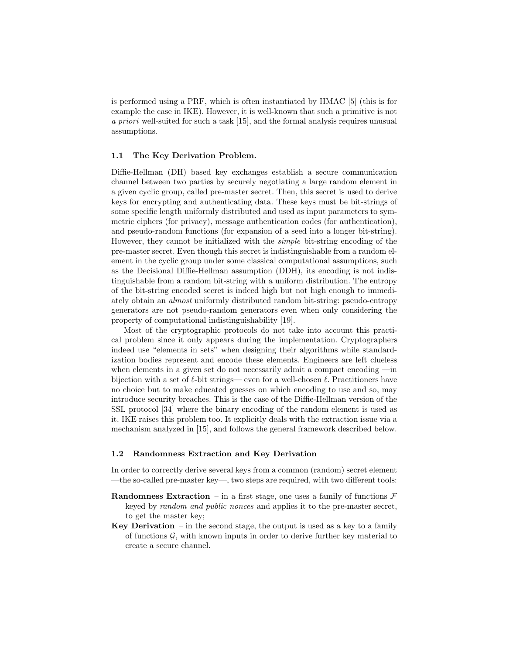is performed using a PRF, which is often instantiated by HMAC [5] (this is for example the case in IKE). However, it is well-known that such a primitive is not a priori well-suited for such a task [15], and the formal analysis requires unusual assumptions.

#### 1.1 The Key Derivation Problem.

Diffie-Hellman (DH) based key exchanges establish a secure communication channel between two parties by securely negotiating a large random element in a given cyclic group, called pre-master secret. Then, this secret is used to derive keys for encrypting and authenticating data. These keys must be bit-strings of some specific length uniformly distributed and used as input parameters to symmetric ciphers (for privacy), message authentication codes (for authentication), and pseudo-random functions (for expansion of a seed into a longer bit-string). However, they cannot be initialized with the simple bit-string encoding of the pre-master secret. Even though this secret is indistinguishable from a random element in the cyclic group under some classical computational assumptions, such as the Decisional Diffie-Hellman assumption (DDH), its encoding is not indistinguishable from a random bit-string with a uniform distribution. The entropy of the bit-string encoded secret is indeed high but not high enough to immediately obtain an almost uniformly distributed random bit-string: pseudo-entropy generators are not pseudo-random generators even when only considering the property of computational indistinguishability [19].

Most of the cryptographic protocols do not take into account this practical problem since it only appears during the implementation. Cryptographers indeed use "elements in sets" when designing their algorithms while standardization bodies represent and encode these elements. Engineers are left clueless when elements in a given set do not necessarily admit a compact encoding —in bijection with a set of  $\ell$ -bit strings— even for a well-chosen  $\ell$ . Practitioners have no choice but to make educated guesses on which encoding to use and so, may introduce security breaches. This is the case of the Diffie-Hellman version of the SSL protocol [34] where the binary encoding of the random element is used as it. IKE raises this problem too. It explicitly deals with the extraction issue via a mechanism analyzed in [15], and follows the general framework described below.

#### 1.2 Randomness Extraction and Key Derivation

In order to correctly derive several keys from a common (random) secret element —the so-called pre-master key—, two steps are required, with two different tools:

- **Randomness Extraction** in a first stage, one uses a family of functions  $\mathcal{F}$ keyed by random and public nonces and applies it to the pre-master secret, to get the master key;
- Key Derivation in the second stage, the output is used as a key to a family of functions  $G$ , with known inputs in order to derive further key material to create a secure channel.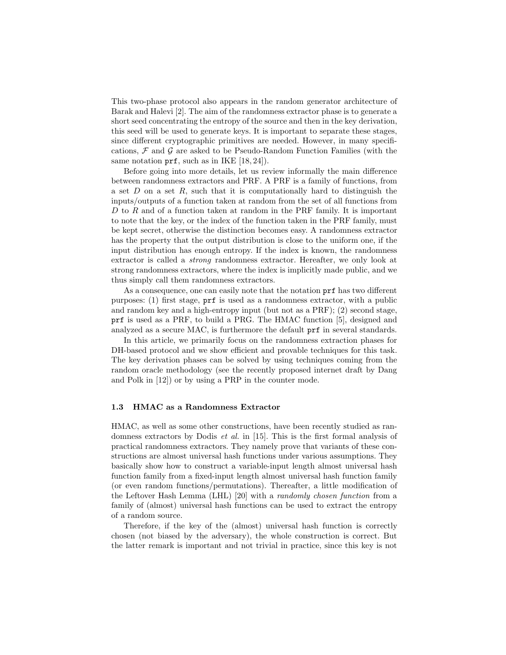This two-phase protocol also appears in the random generator architecture of Barak and Halevi [2]. The aim of the randomness extractor phase is to generate a short seed concentrating the entropy of the source and then in the key derivation, this seed will be used to generate keys. It is important to separate these stages, since different cryptographic primitives are needed. However, in many specifications,  $\mathcal F$  and  $\mathcal G$  are asked to be Pseudo-Random Function Families (with the same notation  $\text{prf}$ , such as in IKE [18, 24]).

Before going into more details, let us review informally the main difference between randomness extractors and PRF. A PRF is a family of functions, from a set  $D$  on a set  $R$ , such that it is computationally hard to distinguish the inputs/outputs of a function taken at random from the set of all functions from D to R and of a function taken at random in the PRF family. It is important to note that the key, or the index of the function taken in the PRF family, must be kept secret, otherwise the distinction becomes easy. A randomness extractor has the property that the output distribution is close to the uniform one, if the input distribution has enough entropy. If the index is known, the randomness extractor is called a strong randomness extractor. Hereafter, we only look at strong randomness extractors, where the index is implicitly made public, and we thus simply call them randomness extractors.

As a consequence, one can easily note that the notation prf has two different purposes: (1) first stage, prf is used as a randomness extractor, with a public and random key and a high-entropy input (but not as a PRF); (2) second stage, prf is used as a PRF, to build a PRG. The HMAC function [5], designed and analyzed as a secure MAC, is furthermore the default prf in several standards.

In this article, we primarily focus on the randomness extraction phases for DH-based protocol and we show efficient and provable techniques for this task. The key derivation phases can be solved by using techniques coming from the random oracle methodology (see the recently proposed internet draft by Dang and Polk in [12]) or by using a PRP in the counter mode.

#### 1.3 HMAC as a Randomness Extractor

HMAC, as well as some other constructions, have been recently studied as randomness extractors by Dodis et al. in [15]. This is the first formal analysis of practical randomness extractors. They namely prove that variants of these constructions are almost universal hash functions under various assumptions. They basically show how to construct a variable-input length almost universal hash function family from a fixed-input length almost universal hash function family (or even random functions/permutations). Thereafter, a little modification of the Leftover Hash Lemma (LHL) [20] with a randomly chosen function from a family of (almost) universal hash functions can be used to extract the entropy of a random source.

Therefore, if the key of the (almost) universal hash function is correctly chosen (not biased by the adversary), the whole construction is correct. But the latter remark is important and not trivial in practice, since this key is not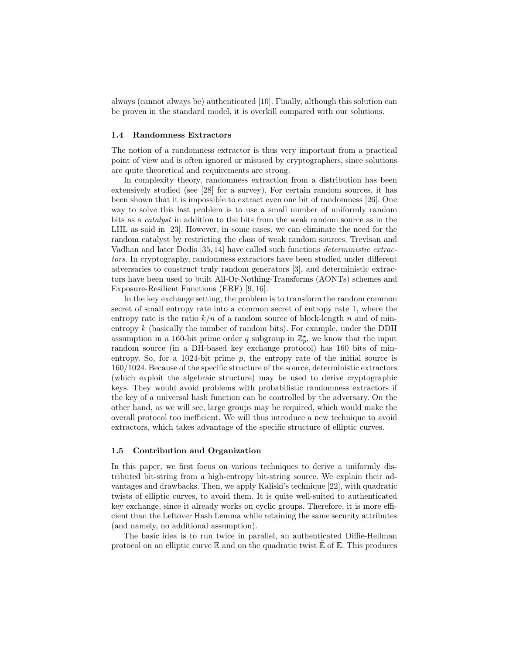always (cannot always be) authenticated [10]. Finally, although this solution can be proven in the standard model, it is overkill compared with our solutions.

#### 1.4 Randomness Extractors

The notion of a randomness extractor is thus very important from a practical point of view and is often ignored or misused by cryptographers, since solutions are quite theoretical and requirements are strong.

In complexity theory, randomness extraction from a distribution has been extensively studied (see [28] for a survey). For certain random sources, it has been shown that it is impossible to extract even one bit of randomness [26]. One way to solve this last problem is to use a small number of uniformly random bits as a catalyst in addition to the bits from the weak random source as in the LHL as said in [23]. However, in some cases, we can eliminate the need for the random catalyst by restricting the class of weak random sources. Trevisan and Vadhan and later Dodis [35, 14] have called such functions deterministic extractors. In cryptography, randomness extractors have been studied under different adversaries to construct truly random generators [3], and deterministic extractors have been used to built All-Or-Nothing-Transforms (AONTs) schemes and Exposure-Resilient Functions (ERF) [9, 16].

In the key exchange setting, the problem is to transform the random common secret of small entropy rate into a common secret of entropy rate 1, where the entropy rate is the ratio  $k/n$  of a random source of block-length n and of minentropy  $k$  (basically the number of random bits). For example, under the DDH assumption in a 160-bit prime order q subgroup in  $\mathbb{Z}_p^*$ , we know that the input random source (in a DH-based key exchange protocol) has 160 bits of minentropy. So, for a 1024-bit prime  $p$ , the entropy rate of the initial source is 160/1024. Because of the specific structure of the source, deterministic extractors (which exploit the algebraic structure) may be used to derive cryptographic keys. They would avoid problems with probabilistic randomness extractors if the key of a universal hash function can be controlled by the adversary. On the other hand, as we will see, large groups may be required, which would make the overall protocol too inefficient. We will thus introduce a new technique to avoid extractors, which takes advantage of the specific structure of elliptic curves.

#### 1.5 Contribution and Organization

In this paper, we first focus on various techniques to derive a uniformly distributed bit-string from a high-entropy bit-string source. We explain their advantages and drawbacks. Then, we apply Kaliski's technique [22], with quadratic twists of elliptic curves, to avoid them. It is quite well-suited to authenticated key exchange, since it already works on cyclic groups. Therefore, it is more efficient than the Leftover Hash Lemma while retaining the same security attributes (and namely, no additional assumption).

The basic idea is to run twice in parallel, an authenticated Diffie-Hellman protocol on an elliptic curve  $\mathbb E$  and on the quadratic twist  $\mathbb E$  of  $\mathbb E$ . This produces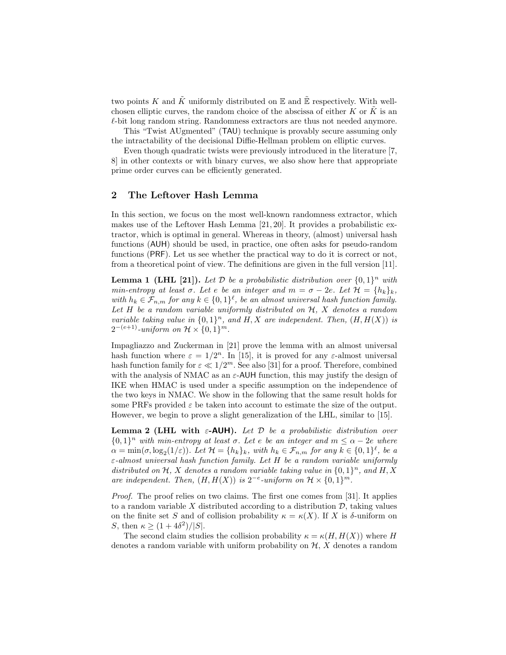two points K and  $\tilde{K}$  uniformly distributed on E and  $\tilde{E}$  respectively. With wellchosen elliptic curves, the random choice of the abscissa of either  $K$  or  $K$  is an  $\ell$ -bit long random string. Randomness extractors are thus not needed anymore.

This "Twist AUgmented" (TAU) technique is provably secure assuming only the intractability of the decisional Diffie-Hellman problem on elliptic curves.

Even though quadratic twists were previously introduced in the literature [7, 8] in other contexts or with binary curves, we also show here that appropriate prime order curves can be efficiently generated.

# 2 The Leftover Hash Lemma

In this section, we focus on the most well-known randomness extractor, which makes use of the Leftover Hash Lemma [21, 20]. It provides a probabilistic extractor, which is optimal in general. Whereas in theory, (almost) universal hash functions (AUH) should be used, in practice, one often asks for pseudo-random functions (PRF). Let us see whether the practical way to do it is correct or not, from a theoretical point of view. The definitions are given in the full version [11].

**Lemma 1 (LHL [21]).** Let  $D$  be a probabilistic distribution over  $\{0,1\}^n$  with min-entropy at least  $\sigma$ . Let  $e$  be an integer and  $m = \sigma - 2e$ . Let  $\mathcal{H} = \{h_k\}_k$ , with  $h_k \in \mathcal{F}_{n,m}$  for any  $k \in \{0,1\}^{\ell}$ , be an almost universal hash function family. Let  $H$  be a random variable uniformly distributed on  $H$ ,  $X$  denotes a random variable taking value in  $\{0,1\}^n$ , and H, X are independent. Then,  $(H, H(X))$  is  $2^{-(e+1)}$ -uniform on  $\mathcal{H} \times \{0,1\}^m$ .

Impagliazzo and Zuckerman in [21] prove the lemma with an almost universal hash function where  $\varepsilon = 1/2^n$ . In [15], it is proved for any  $\varepsilon$ -almost universal hash function family for  $\varepsilon \ll 1/2^m$ . See also [31] for a proof. Therefore, combined with the analysis of NMAC as an  $\varepsilon$ -AUH function, this may justify the design of IKE when HMAC is used under a specific assumption on the independence of the two keys in NMAC. We show in the following that the same result holds for some PRFs provided  $\varepsilon$  be taken into account to estimate the size of the output. However, we begin to prove a slight generalization of the LHL, similar to [15].

Lemma 2 (LHL with  $\varepsilon$ -AUH). Let  $\mathcal D$  be a probabilistic distribution over  ${0,1}<sup>n</sup>$  with min-entropy at least  $\sigma$ . Let e be an integer and  $m \leq \alpha - 2e$  where  $\alpha = \min(\sigma, \log_2(1/\varepsilon))$ . Let  $\mathcal{H} = \{h_k\}_k$ , with  $h_k \in \mathcal{F}_{n,m}$  for any  $k \in \{0,1\}^{\ell}$ , be a  $\varepsilon$ -almost universal hash function family. Let H be a random variable uniformly distributed on H, X denotes a random variable taking value in  $\{0,1\}^n$ , and H, X are independent. Then,  $(H, H(X))$  is  $2^{-e}$ -uniform on  $\mathcal{H} \times \{0,1\}^m$ .

Proof. The proof relies on two claims. The first one comes from [31]. It applies to a random variable X distributed according to a distribution  $\mathcal{D}$ , taking values on the finite set S and of collision probability  $\kappa = \kappa(X)$ . If X is δ-uniform on S, then  $\kappa > (1 + 4\delta^2)/|S|$ .

The second claim studies the collision probability  $\kappa = \kappa(H, H(X))$  where H denotes a random variable with uniform probability on  $H, X$  denotes a random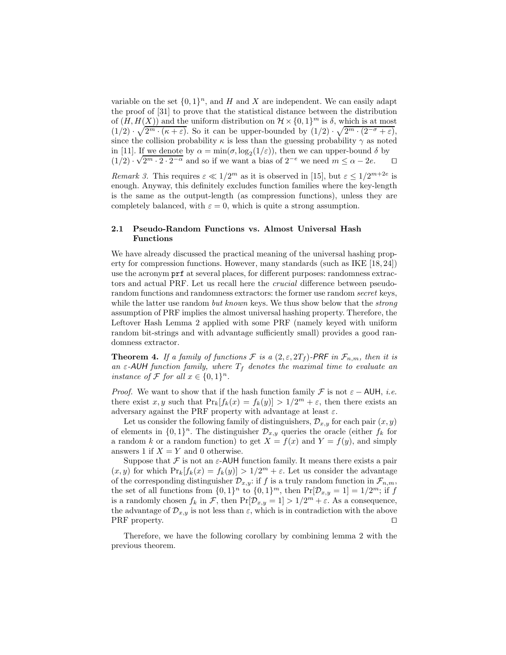variable on the set  $\{0, 1\}^n$ , and H and X are independent. We can easily adapt the proof of [31] to prove that the statistical distance between the distribution of  $(H, H(X))$  and the uniform distribution on  $\mathcal{H} \times \{0,1\}^m$  is  $\delta$ , which is at most  $(1/2) \cdot \sqrt{2^{m} \cdot (\kappa + \varepsilon)}$ . So it can be upper-bounded by  $(1/2) \cdot \sqrt{2^{m} \cdot (2^{-\sigma} + \varepsilon)}$ , since the collision probability  $\kappa$  is less than the guessing probability  $\gamma$  as noted in [11]. If we denote by  $\alpha = \min(\sigma, \log_2(1/\varepsilon))$ , then we can upper-bound  $\delta$  by  $(1/2) \cdot \sqrt{2^{m} \cdot 2 \cdot 2^{-\alpha}}$  and so if we want a bias of  $2^{-e}$  we need  $m \leq \alpha - 2e$ . (1/2)  $\sqrt{2^m \cdot 2 \cdot 2^{-\alpha}}$  and so if we want a bias of  $2^{-e}$  we need  $m \le \alpha - 2e$ .  $\Box$ 

Remark 3. This requires  $\varepsilon \ll 1/2^m$  as it is observed in [15], but  $\varepsilon \leq 1/2^{m+2e}$  is enough. Anyway, this definitely excludes function families where the key-length is the same as the output-length (as compression functions), unless they are completely balanced, with  $\varepsilon = 0$ , which is quite a strong assumption.

## 2.1 Pseudo-Random Functions vs. Almost Universal Hash Functions

We have already discussed the practical meaning of the universal hashing property for compression functions. However, many standards (such as IKE [18, 24]) use the acronym prf at several places, for different purposes: randomness extractors and actual PRF. Let us recall here the crucial difference between pseudorandom functions and randomness extractors: the former use random secret keys, while the latter use random *but known* keys. We thus show below that the *strong* assumption of PRF implies the almost universal hashing property. Therefore, the Leftover Hash Lemma 2 applied with some PRF (namely keyed with uniform random bit-strings and with advantage sufficiently small) provides a good randomness extractor.

**Theorem 4.** If a family of functions F is a  $(2, \varepsilon, 2T_f)$ -PRF in  $\mathcal{F}_{n,m}$ , then it is an  $\varepsilon$ -AUH function family, where  $T_f$  denotes the maximal time to evaluate an instance of  $\mathcal F$  for all  $x \in \{0,1\}^n$ .

*Proof.* We want to show that if the hash function family  $\mathcal F$  is not  $\varepsilon$  − AUH, *i.e.* there exist x, y such that  $Pr_k[f_k(x) = f_k(y)] > 1/2^m + \varepsilon$ , then there exists an adversary against the PRF property with advantage at least  $\varepsilon$ .

Let us consider the following family of distinguishers,  $\mathcal{D}_{x,y}$  for each pair  $(x, y)$ of elements in  $\{0,1\}^n$ . The distinguisher  $\mathcal{D}_{x,y}$  queries the oracle (either  $f_k$  for a random k or a random function) to get  $X = f(x)$  and  $Y = f(y)$ , and simply answers 1 if  $X = Y$  and 0 otherwise.

Suppose that  $\mathcal F$  is not an  $\varepsilon$ -AUH function family. It means there exists a pair  $(x, y)$  for which  $Pr_k[f_k(x) = f_k(y)] > 1/2^m + \varepsilon$ . Let us consider the advantage of the corresponding distinguisher  $\mathcal{D}_{x,y}$ : if f is a truly random function in  $\mathcal{F}_{n,m}$ , the set of all functions from  $\{0, 1\}^n$  to  $\{0, 1\}^m$ , then  $Pr[\mathcal{D}_{x,y} = 1] = 1/2^m$ ; if f is a randomly chosen  $f_k$  in F, then  $Pr[\mathcal{D}_{x,y} = 1] > 1/2^m + \varepsilon$ . As a consequence, the advantage of  $\mathcal{D}_{x,y}$  is not less than  $\varepsilon$ , which is in contradiction with the above PRF property. PRF property.

Therefore, we have the following corollary by combining lemma 2 with the previous theorem.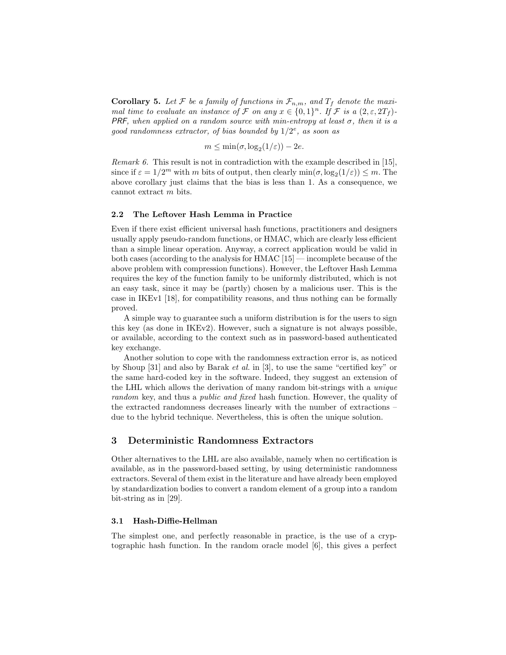**Corollary 5.** Let F be a family of functions in  $\mathcal{F}_{n,m}$ , and  $T_f$  denote the maximal time to evaluate an instance of F on any  $x \in \{0,1\}^n$ . If F is a  $(2,\varepsilon,2T_f)$ -PRF, when applied on a random source with min-entropy at least  $\sigma$ , then it is a good randomness extractor, of bias bounded by  $1/2^e$ , as soon as

$$
m \le \min(\sigma, \log_2(1/\varepsilon)) - 2e.
$$

Remark 6. This result is not in contradiction with the example described in [15], since if  $\varepsilon = 1/2^m$  with m bits of output, then clearly  $\min(\sigma, \log_2(1/\varepsilon)) \leq m$ . The above corollary just claims that the bias is less than 1. As a consequence, we cannot extract m bits.

#### 2.2 The Leftover Hash Lemma in Practice

Even if there exist efficient universal hash functions, practitioners and designers usually apply pseudo-random functions, or HMAC, which are clearly less efficient than a simple linear operation. Anyway, a correct application would be valid in both cases (according to the analysis for HMAC [15] — incomplete because of the above problem with compression functions). However, the Leftover Hash Lemma requires the key of the function family to be uniformly distributed, which is not an easy task, since it may be (partly) chosen by a malicious user. This is the case in IKEv1 [18], for compatibility reasons, and thus nothing can be formally proved.

A simple way to guarantee such a uniform distribution is for the users to sign this key (as done in IKEv2). However, such a signature is not always possible, or available, according to the context such as in password-based authenticated key exchange.

Another solution to cope with the randomness extraction error is, as noticed by Shoup [31] and also by Barak et al. in [3], to use the same "certified key" or the same hard-coded key in the software. Indeed, they suggest an extension of the LHL which allows the derivation of many random bit-strings with a unique random key, and thus a public and fixed hash function. However, the quality of the extracted randomness decreases linearly with the number of extractions – due to the hybrid technique. Nevertheless, this is often the unique solution.

# 3 Deterministic Randomness Extractors

Other alternatives to the LHL are also available, namely when no certification is available, as in the password-based setting, by using deterministic randomness extractors. Several of them exist in the literature and have already been employed by standardization bodies to convert a random element of a group into a random bit-string as in [29].

#### 3.1 Hash-Diffie-Hellman

The simplest one, and perfectly reasonable in practice, is the use of a cryptographic hash function. In the random oracle model [6], this gives a perfect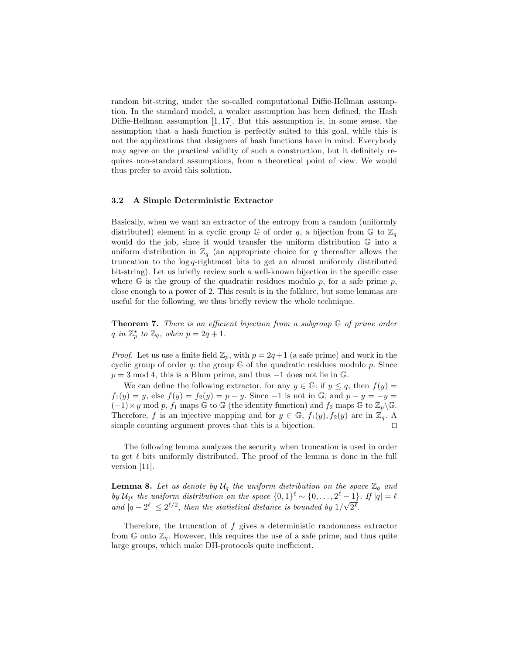random bit-string, under the so-called computational Diffie-Hellman assumption. In the standard model, a weaker assumption has been defined, the Hash Diffie-Hellman assumption [1, 17]. But this assumption is, in some sense, the assumption that a hash function is perfectly suited to this goal, while this is not the applications that designers of hash functions have in mind. Everybody may agree on the practical validity of such a construction, but it definitely requires non-standard assumptions, from a theoretical point of view. We would thus prefer to avoid this solution.

#### 3.2 A Simple Deterministic Extractor

Basically, when we want an extractor of the entropy from a random (uniformly distributed) element in a cyclic group G of order q, a bijection from G to  $\mathbb{Z}_q$ would do the job, since it would transfer the uniform distribution G into a uniform distribution in  $\mathbb{Z}_q$  (an appropriate choice for q thereafter allows the truncation to the  $log q$ -rightmost bits to get an almost uniformly distributed bit-string). Let us briefly review such a well-known bijection in the specific case where  $\mathbb{G}$  is the group of the quadratic residues modulo p, for a safe prime p, close enough to a power of 2. This result is in the folklore, but some lemmas are useful for the following, we thus briefly review the whole technique.

**Theorem 7.** There is an efficient bijection from a subgroup  $\mathbb{G}$  of prime order q in  $\mathbb{Z}_p^{\star}$  to  $\mathbb{Z}_q$ , when  $p = 2q + 1$ .

*Proof.* Let us use a finite field  $\mathbb{Z}_p$ , with  $p = 2q+1$  (a safe prime) and work in the cyclic group of order  $q$ : the group  $\mathbb G$  of the quadratic residues modulo  $p$ . Since  $p = 3 \text{ mod } 4$ , this is a Blum prime, and thus  $-1$  does not lie in  $\mathbb{G}$ .

We can define the following extractor, for any  $y \in \mathbb{G}$ : if  $y \leq q$ , then  $f(y) =$  $f_1(y) = y$ , else  $f(y) = f_2(y) = p - y$ . Since -1 is not in  $\mathbb{G}$ , and  $p - y = -y =$  $(-1)\times y$  mod p,  $f_1$  maps G to G (the identity function) and  $f_2$  maps G to  $\mathbb{Z}_p\backslash\mathbb{G}$ . Therefore, f is an injective mapping and for  $y \in \mathbb{G}$ ,  $f_1(y)$ ,  $f_2(y)$  are in  $\mathbb{Z}_q$ . A simple counting argument proves that this is a bijection.

The following lemma analyzes the security when truncation is used in order to get  $\ell$  bits uniformly distributed. The proof of the lemma is done in the full version [11].

**Lemma 8.** Let us denote by  $\mathcal{U}_q$  the uniform distribution on the space  $\mathbb{Z}_q$  and by  $\mathcal{U}_{2^{\ell}}$  the uniform distribution on the space  $\{0,1\}^{\ell} \sim \{0,\ldots,2^{\ell}-1\}$ . If  $|\overline{q}| = \ell$ and  $|q - 2^{\ell}| \leq 2^{\ell/2}$ , then the statistical distance is bounded by  $1/\sqrt{2^{\ell}}$ .

Therefore, the truncation of f gives a deterministic randomness extractor from  $\mathbb{G}$  onto  $\mathbb{Z}_q$ . However, this requires the use of a safe prime, and thus quite large groups, which make DH-protocols quite inefficient.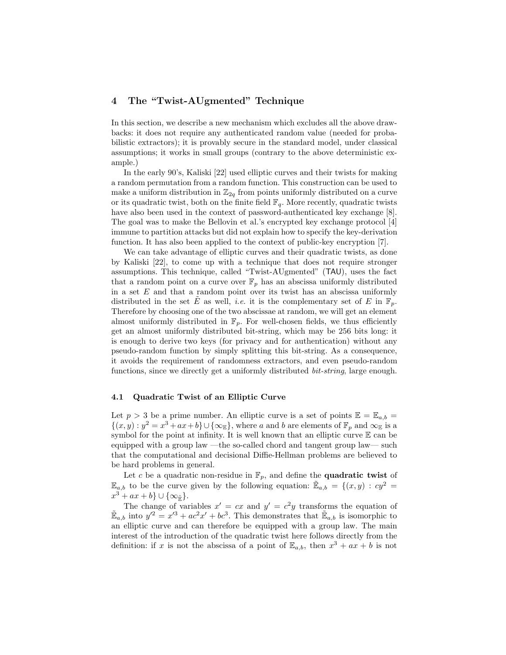# 4 The "Twist-AUgmented" Technique

In this section, we describe a new mechanism which excludes all the above drawbacks: it does not require any authenticated random value (needed for probabilistic extractors); it is provably secure in the standard model, under classical assumptions; it works in small groups (contrary to the above deterministic example.)

In the early 90's, Kaliski [22] used elliptic curves and their twists for making a random permutation from a random function. This construction can be used to make a uniform distribution in  $\mathbb{Z}_{2q}$  from points uniformly distributed on a curve or its quadratic twist, both on the finite field  $\mathbb{F}_q$ . More recently, quadratic twists have also been used in the context of password-authenticated key exchange [8]. The goal was to make the Bellovin et al.'s encrypted key exchange protocol [4] immune to partition attacks but did not explain how to specify the key-derivation function. It has also been applied to the context of public-key encryption [7].

We can take advantage of elliptic curves and their quadratic twists, as done by Kaliski [22], to come up with a technique that does not require stronger assumptions. This technique, called "Twist-AUgmented" (TAU), uses the fact that a random point on a curve over  $\mathbb{F}_p$  has an abscissa uniformly distributed in a set  $E$  and that a random point over its twist has an abscissa uniformly distributed in the set E as well, *i.e.* it is the complementary set of E in  $\mathbb{F}_p$ . Therefore by choosing one of the two abscissae at random, we will get an element almost uniformly distributed in  $\mathbb{F}_p$ . For well-chosen fields, we thus efficiently get an almost uniformly distributed bit-string, which may be 256 bits long: it is enough to derive two keys (for privacy and for authentication) without any pseudo-random function by simply splitting this bit-string. As a consequence, it avoids the requirement of randomness extractors, and even pseudo-random functions, since we directly get a uniformly distributed bit-string, large enough.

#### 4.1 Quadratic Twist of an Elliptic Curve

Let  $p > 3$  be a prime number. An elliptic curve is a set of points  $\mathbb{E} = \mathbb{E}_{a,b}$  $\{(x, y) : y^2 = x^3 + ax + b\} \cup \{\infty_E\}$ , where a and b are elements of  $\mathbb{F}_p$  and  $\infty_E$  is a symbol for the point at infinity. It is well known that an elliptic curve  $E$  can be equipped with a group law —the so-called chord and tangent group law— such that the computational and decisional Diffie-Hellman problems are believed to be hard problems in general.

Let c be a quadratic non-residue in  $\mathbb{F}_p$ , and define the **quadratic twist** of  $\mathbb{E}_{a,b}$  to be the curve given by the following equation:  $\mathbb{E}_{a,b} = \{(x,y) : cy^2 =$  $x^3 + ax + b$ } ∪ { $\infty_{\tilde{\mathbb{R}}}$  }.

The change of variables  $x' = cx$  and  $y' = c^2y$  transforms the equation of  $\mathbb{E}_{a,b}$  into  $y'^2 = x'^3 + ac^2x' + bc^3$ . This demonstrates that  $\mathbb{E}_{a,b}$  is isomorphic to an elliptic curve and can therefore be equipped with a group law. The main interest of the introduction of the quadratic twist here follows directly from the definition: if x is not the abscissa of a point of  $\mathbb{E}_{a,b}$ , then  $x^3 + ax + b$  is not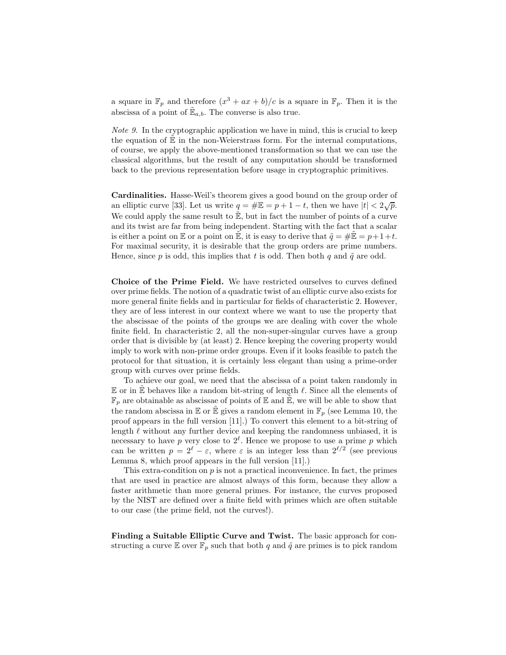a square in  $\mathbb{F}_p$  and therefore  $(x^3 + ax + b)/c$  is a square in  $\mathbb{F}_p$ . Then it is the abscissa of a point of  $\mathbb{E}_{a,b}$ . The converse is also true.

Note 9. In the cryptographic application we have in mind, this is crucial to keep the equation of  $\mathbb E$  in the non-Weierstrass form. For the internal computations, of course, we apply the above-mentioned transformation so that we can use the classical algorithms, but the result of any computation should be transformed back to the previous representation before usage in cryptographic primitives.

Cardinalities. Hasse-Weil's theorem gives a good bound on the group order of an elliptic curve [33]. Let us write  $q = \# \mathbb{E} = p + 1 - t$ , then we have  $|t| < 2\sqrt{p}$ . We could apply the same result to  $\mathbb{E}$ , but in fact the number of points of a curve and its twist are far from being independent. Starting with the fact that a scalar is either a point on  $\mathbb E$  or a point on  $\mathbb \tilde{E}$ , it is easy to derive that  $\tilde{q} = \#\tilde{E} = p+1+t$ . For maximal security, it is desirable that the group orders are prime numbers. Hence, since p is odd, this implies that t is odd. Then both q and  $\tilde{q}$  are odd.

Choice of the Prime Field. We have restricted ourselves to curves defined over prime fields. The notion of a quadratic twist of an elliptic curve also exists for more general finite fields and in particular for fields of characteristic 2. However, they are of less interest in our context where we want to use the property that the abscissae of the points of the groups we are dealing with cover the whole finite field. In characteristic 2, all the non-super-singular curves have a group order that is divisible by (at least) 2. Hence keeping the covering property would imply to work with non-prime order groups. Even if it looks feasible to patch the protocol for that situation, it is certainly less elegant than using a prime-order group with curves over prime fields.

To achieve our goal, we need that the abscissa of a point taken randomly in  $E$  or in  $E$  behaves like a random bit-string of length  $\ell$ . Since all the elements of  $\mathbb{F}_p$  are obtainable as abscissae of points of  $\mathbb E$  and  $\tilde{\mathbb E},$  we will be able to show that the random abscissa in  $\mathbb E$  or  $\mathbb \tilde E$  gives a random element in  $\mathbb F_p$  (see Lemma 10, the proof appears in the full version [11].) To convert this element to a bit-string of length  $\ell$  without any further device and keeping the randomness unbiased, it is necessary to have p very close to  $2^{\ell}$ . Hence we propose to use a prime p which can be written  $p = 2^{\ell} - \varepsilon$ , where  $\varepsilon$  is an integer less than  $2^{\ell/2}$  (see previous Lemma 8, which proof appears in the full version [11].)

This extra-condition on  $p$  is not a practical inconvenience. In fact, the primes that are used in practice are almost always of this form, because they allow a faster arithmetic than more general primes. For instance, the curves proposed by the NIST are defined over a finite field with primes which are often suitable to our case (the prime field, not the curves!).

Finding a Suitable Elliptic Curve and Twist. The basic approach for constructing a curve E over  $\mathbb{F}_p$  such that both q and  $\tilde{q}$  are primes is to pick random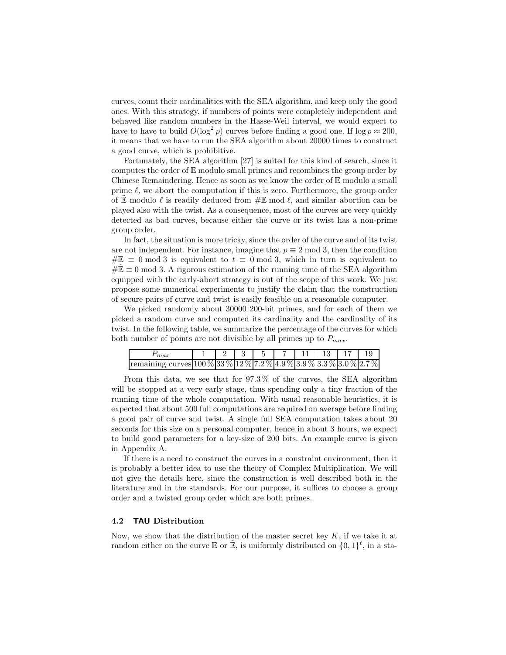curves, count their cardinalities with the SEA algorithm, and keep only the good ones. With this strategy, if numbers of points were completely independent and behaved like random numbers in the Hasse-Weil interval, we would expect to have to have to build  $O(\log^2 p)$  curves before finding a good one. If  $\log p \approx 200$ , it means that we have to run the SEA algorithm about 20000 times to construct a good curve, which is prohibitive.

Fortunately, the SEA algorithm [27] is suited for this kind of search, since it computes the order of  $E$  modulo small primes and recombines the group order by Chinese Remaindering. Hence as soon as we know the order of  $E$  modulo a small prime  $\ell$ , we abort the computation if this is zero. Furthermore, the group order of  $\mathbb E$  modulo  $\ell$  is readily deduced from  $\#\mathbb E$  mod  $\ell$ , and similar abortion can be played also with the twist. As a consequence, most of the curves are very quickly detected as bad curves, because either the curve or its twist has a non-prime group order.

In fact, the situation is more tricky, since the order of the curve and of its twist are not independent. For instance, imagine that  $p \equiv 2 \mod 3$ , then the condition  $\#\mathbb{E} \equiv 0 \mod 3$  is equivalent to  $t \equiv 0 \mod 3$ , which in turn is equivalent to  $\#\mathbb{E} \equiv 0 \mod 3$ . A rigorous estimation of the running time of the SEA algorithm equipped with the early-abort strategy is out of the scope of this work. We just propose some numerical experiments to justify the claim that the construction of secure pairs of curve and twist is easily feasible on a reasonable computer.

We picked randomly about 30000 200-bit primes, and for each of them we picked a random curve and computed its cardinality and the cardinality of its twist. In the following table, we summarize the percentage of the curves for which both number of points are not divisible by all primes up to  $P_{max}$ .

| max                                                                                              |  |  | $1 \t7 \t11 \t13 \t17$ |  |  |
|--------------------------------------------------------------------------------------------------|--|--|------------------------|--|--|
| remaining curves $100\,\%$ 33 $\%$ 12 $\%$ 7.2 $\%$ 4.9 $\%$ 3.9 $\%$ 3.3 $\%$ 3.0 $\%$ 2.7 $\%$ |  |  |                        |  |  |

From this data, we see that for 97.3 % of the curves, the SEA algorithm will be stopped at a very early stage, thus spending only a tiny fraction of the running time of the whole computation. With usual reasonable heuristics, it is expected that about 500 full computations are required on average before finding a good pair of curve and twist. A single full SEA computation takes about 20 seconds for this size on a personal computer, hence in about 3 hours, we expect to build good parameters for a key-size of 200 bits. An example curve is given in Appendix A.

If there is a need to construct the curves in a constraint environment, then it is probably a better idea to use the theory of Complex Multiplication. We will not give the details here, since the construction is well described both in the literature and in the standards. For our purpose, it suffices to choose a group order and a twisted group order which are both primes.

#### 4.2 TAU Distribution

Now, we show that the distribution of the master secret key  $K$ , if we take it at random either on the curve  $\mathbb E$  or  $\mathbb \tilde{E}$ , is uniformly distributed on  $\{0,1\}^{\ell}$ , in a sta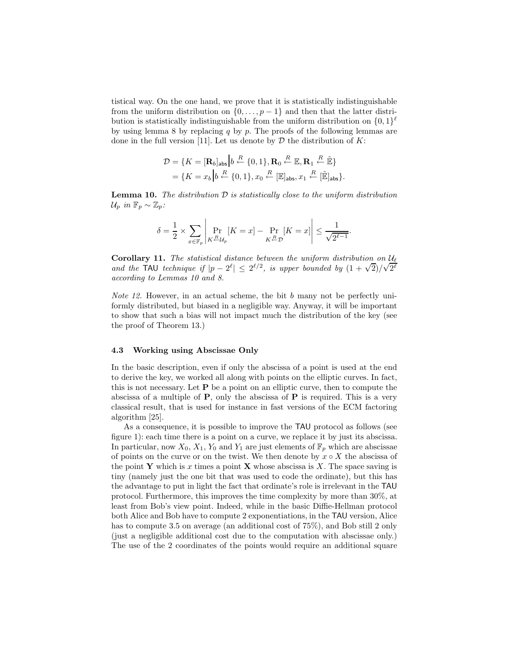tistical way. On the one hand, we prove that it is statistically indistinguishable from the uniform distribution on  $\{0, \ldots, p-1\}$  and then that the latter distribution is statistically indistinguishable from the uniform distribution on  $\{0,1\}^{\ell}$ by using lemma 8 by replacing  $q$  by  $p$ . The proofs of the following lemmas are done in the full version [11]. Let us denote by  $D$  the distribution of  $K$ :

$$
\mathcal{D} = \{K = [\mathbf{R}_b]_{\text{abs}} \middle| b \stackrel{R}{\leftarrow} \{0, 1\}, \mathbf{R}_0 \stackrel{R}{\leftarrow} \mathbb{E}, \mathbf{R}_1 \stackrel{R}{\leftarrow} \mathbb{E} \}
$$

$$
= \{K = x_b \middle| b \stackrel{R}{\leftarrow} \{0, 1\}, x_0 \stackrel{R}{\leftarrow} [\mathbb{E}]_{\text{abs}}, x_1 \stackrel{R}{\leftarrow} [\mathbb{E}]_{\text{abs}} \}.
$$

**Lemma 10.** The distribution  $D$  is statistically close to the uniform distribution  $\mathcal{U}_p$  in  $\mathbb{F}_p \sim \mathbb{Z}_p$ :

$$
\delta = \frac{1}{2} \times \sum_{x \in \mathbb{F}_p} \left| \Pr_{K \stackrel{R}{\leftarrow} \mathcal{U}_p} [K = x] - \Pr_{K \stackrel{R}{\leftarrow} \mathcal{D}} [K = x] \right| \le \frac{1}{\sqrt{2^{\ell - 1}}}.
$$

Corollary 11. The statistical distance between the uniform distribution on  $\mathcal{U}_{\ell}$ and the TAU technique if  $|p - 2^{\ell}| \leq 2^{\ell/2}$ , is upper bounded by  $(1 + \sqrt{2})/\sqrt{2^{\ell}}$ according to Lemmas 10 and 8.

*Note 12.* However, in an actual scheme, the bit  $b$  many not be perfectly uniformly distributed, but biased in a negligible way. Anyway, it will be important to show that such a bias will not impact much the distribution of the key (see the proof of Theorem 13.)

#### 4.3 Working using Abscissae Only

In the basic description, even if only the abscissa of a point is used at the end to derive the key, we worked all along with points on the elliptic curves. In fact, this is not necessary. Let  $P$  be a point on an elliptic curve, then to compute the abscissa of a multiple of  $P$ , only the abscissa of  $P$  is required. This is a very classical result, that is used for instance in fast versions of the ECM factoring algorithm [25].

As a consequence, it is possible to improve the TAU protocol as follows (see figure 1): each time there is a point on a curve, we replace it by just its abscissa. In particular, now  $X_0, X_1, Y_0$  and  $Y_1$  are just elements of  $\mathbb{F}_p$  which are abscissae of points on the curve or on the twist. We then denote by  $x \circ X$  the abscissa of the point Y which is x times a point X whose abscissa is X. The space saving is tiny (namely just the one bit that was used to code the ordinate), but this has the advantage to put in light the fact that ordinate's role is irrelevant in the TAU protocol. Furthermore, this improves the time complexity by more than 30%, at least from Bob's view point. Indeed, while in the basic Diffie-Hellman protocol both Alice and Bob have to compute 2 exponentiations, in the TAU version, Alice has to compute 3.5 on average (an additional cost of 75%), and Bob still 2 only (just a negligible additional cost due to the computation with abscissae only.) The use of the 2 coordinates of the points would require an additional square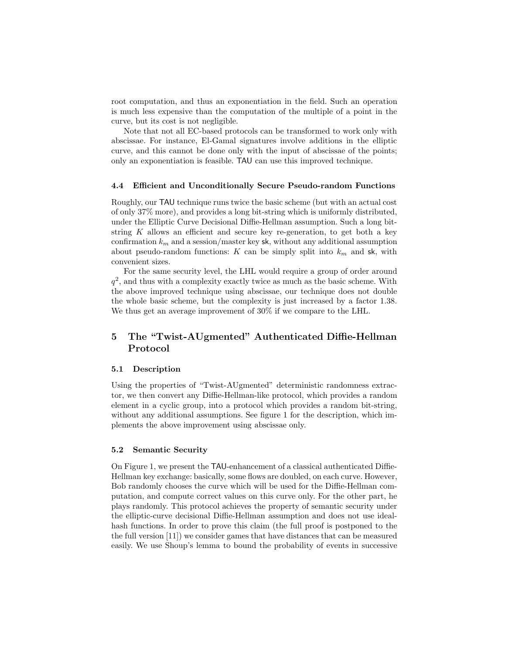root computation, and thus an exponentiation in the field. Such an operation is much less expensive than the computation of the multiple of a point in the curve, but its cost is not negligible.

Note that not all EC-based protocols can be transformed to work only with abscissae. For instance, El-Gamal signatures involve additions in the elliptic curve, and this cannot be done only with the input of abscissae of the points; only an exponentiation is feasible. TAU can use this improved technique.

#### 4.4 Efficient and Unconditionally Secure Pseudo-random Functions

Roughly, our TAU technique runs twice the basic scheme (but with an actual cost of only 37% more), and provides a long bit-string which is uniformly distributed, under the Elliptic Curve Decisional Diffie-Hellman assumption. Such a long bitstring  $K$  allows an efficient and secure key re-generation, to get both a key confirmation  $k_m$  and a session/master key sk, without any additional assumption about pseudo-random functions: K can be simply split into  $k_m$  and sk, with convenient sizes.

For the same security level, the LHL would require a group of order around  $q<sup>2</sup>$ , and thus with a complexity exactly twice as much as the basic scheme. With the above improved technique using abscissae, our technique does not double the whole basic scheme, but the complexity is just increased by a factor 1.38. We thus get an average improvement of 30% if we compare to the LHL.

# 5 The "Twist-AUgmented" Authenticated Diffie-Hellman Protocol

#### 5.1 Description

Using the properties of "Twist-AUgmented" deterministic randomness extractor, we then convert any Diffie-Hellman-like protocol, which provides a random element in a cyclic group, into a protocol which provides a random bit-string, without any additional assumptions. See figure 1 for the description, which implements the above improvement using abscissae only.

#### 5.2 Semantic Security

On Figure 1, we present the TAU-enhancement of a classical authenticated Diffie-Hellman key exchange: basically, some flows are doubled, on each curve. However, Bob randomly chooses the curve which will be used for the Diffie-Hellman computation, and compute correct values on this curve only. For the other part, he plays randomly. This protocol achieves the property of semantic security under the elliptic-curve decisional Diffie-Hellman assumption and does not use idealhash functions. In order to prove this claim (the full proof is postponed to the the full version [11]) we consider games that have distances that can be measured easily. We use Shoup's lemma to bound the probability of events in successive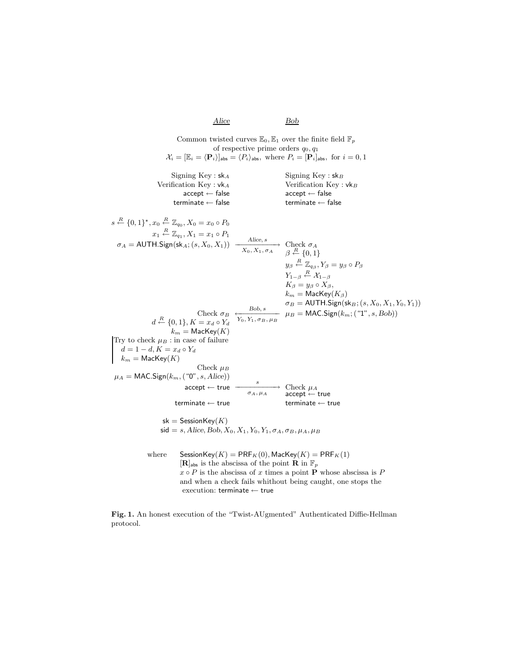Alice Bob Common twisted curves  $\mathbb{E}_0$ ,  $\mathbb{E}_1$  over the finite field  $\mathbb{F}_p$ of respective prime orders  $q_0, q_1$  $\mathcal{X}_i = [\mathbb{E}_i = \langle \mathbf{P}_i \rangle]_{\text{abs}} = \langle P_i \rangle_{\text{abs}}$ , where  $P_i = [\mathbf{P}_i]_{\text{abs}}$ , for  $i = 0, 1$ Signing Key :  $sk_A$  Signing Key :  $sk_B$ Verification  $Key : vk_A$  Verification  $Key : vk_B$  $\begin{aligned} \text{accept} \leftarrow \text{false} \quad \text{accept} \leftarrow \text{false} \quad \text{temperature} \leftarrow \text{false} \end{aligned}$ terminate  $\leftarrow$  false  $s \stackrel{R}{\leftarrow} \{0,1\}^{\star}, x_0 \stackrel{R}{\leftarrow}$  $\overset{R}{\leftarrow} \{0,1\}^{\star}, x_0 \overset{R}{\leftarrow} \mathbb{Z}_{q_0}, X_0 = x_0 \circ P_0$  $x_1 \stackrel{R}{\leftarrow} \mathbb{Z}_{q_1}, X_1 = x_1 \circ P_1$ <br>  $\sigma_A = \text{AUTH.Sign}(\text{sk}_A; (s, X_0, X_1)) \xrightarrow[X_0, X_1, \sigma_A]{} \text{Check } \sigma_A$ <br>  $\beta \stackrel{R}{\leftarrow} \{0, 1\}$  $y_\beta \stackrel{R}{\leftarrow} \mathbb{Z}_{q_\beta}, Y_\beta = y_\beta \circ P_\beta$  $Y_{1-\beta}\stackrel{R}{\leftarrow}\mathcal{X}_{1-\beta}$  $K_{\beta} = y_{\beta} \circ X_{\beta},$  $k_m = \mathsf{MacKey}(K_\beta)$  $\sigma_B = \text{AUTH.Sign}(\textsf{sk}_B; (s, X_0, X_1, Y_0, Y_1))$ Check  $\sigma_B$ <br>  $d \stackrel{R}{\leftarrow} \{0,1\}, K = x_d \circ Y_d$ Bob, s  ${Y_0, Y_1, \sigma_B, \mu_B}$  $\mu_B = \textsf{MAC}.Sign(k_m; ("1", s, Bob))$  $k_m = \textsf{MacKey}(K)$ Try to check  $\mu_B$ : in case of failure  $d = 1 - d, K = x_d \circ Y_d$  $k_m = \textsf{MacKey}(K)$ Check  $\mu_B$  $\mu_A = \text{MAC}.$ Sign $(k_m, ("0", s, Alice))$  $\text{accept} \leftarrow \text{true}$   $\xrightarrow[\sigma_A, \mu_A]{s}$  Check  $\mu_A$ <br>accept  $\leftarrow$ accept ← true terminate  $\leftarrow$  true terminate  $\leftarrow$  true  $sk =$  SessionKey $(K)$  $\textsf{sid} = s, \textit{Alice}, \textit{Bob}, X_0, X_1, Y_0, Y_1, \sigma_A, \sigma_B, \mu_A, \mu_B$ where  $S$ essionKey $(K) = PRF<sub>K</sub>(0)$ , MacKey $(K) = PRF<sub>K</sub>(1)$  $[\mathbf{R}]_{\textsf{abs}}$  is the abscissa of the point  $\mathbf{R}$  in  $\mathbb{F}_p$  $x \circ P$  is the abscissa of x times a point **P** whose abscissa is P and when a check fails whithout being caught, one stops the execution: terminate ← true

Fig. 1. An honest execution of the "Twist-AUgmented" Authenticated Diffie-Hellman protocol.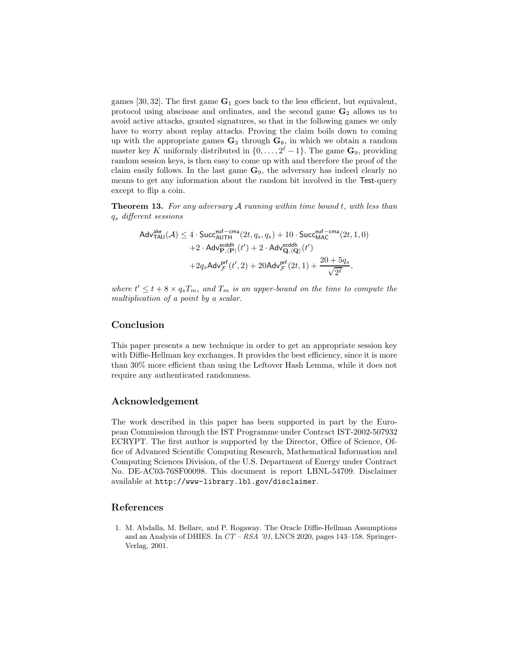games [30, 32]. The first game  $G_1$  goes back to the less efficient, but equivalent, protocol using abscissae and ordinates, and the second game  $\mathbf{G}_2$  allows us to avoid active attacks, granted signatures, so that in the following games we only have to worry about replay attacks. Proving the claim boils down to coming up with the appropriate games  $\mathbf{G}_3$  through  $\mathbf{G}_8$ , in which we obtain a random master key K uniformly distributed in  $\{0, \ldots, 2^{\ell} - 1\}$ . The game  $\mathbf{G}_9$ , providing random session keys, is then easy to come up with and therefore the proof of the claim easily follows. In the last game  $G_9$ , the adversary has indeed clearly no means to get any information about the random bit involved in the Test-query except to flip a coin.

**Theorem 13.** For any adversary  $A$  running within time bound t, with less than q<sup>s</sup> different sessions

$$
\begin{aligned} \mathsf{Adv}_{\mathsf{TAU}}^{\mathsf{ake}}(\mathcal{A}) \le 4 \cdot \mathsf{Succ}_{\mathsf{AUTH}}^{\mathsf{euf-cma}}(2t, q_s, q_s) + 10 \cdot \mathsf{Succ}_{\mathsf{MAC}}^{\mathsf{euf-cma}}(2t, 1, 0) \\ + 2 \cdot \mathsf{Adv}_{\mathbf{P}, \langle \mathbf{P} \rangle}^{\mathsf{ecddh}}(t') + 2 \cdot \mathsf{Adv}_{\mathbf{Q}, \langle \mathbf{Q} \rangle}^{\mathsf{ecddh}}(t') \\ + 2q_s \mathsf{Adv}_{\mathcal{F}}^{\mathsf{prf}}(t', 2) + 20 \mathsf{Adv}_{\mathcal{F}}^{\mathsf{prf}}(2t, 1) + \frac{20 + 5q_s}{\sqrt{2^\ell}}, \end{aligned}
$$

where  $t' \leq t + 8 \times q_s T_m$ , and  $T_m$  is an upper-bound on the time to compute the multiplication of a point by a scalar.

# Conclusion

This paper presents a new technique in order to get an appropriate session key with Diffie-Hellman key exchanges. It provides the best efficiency, since it is more than 30% more efficient than using the Leftover Hash Lemma, while it does not require any authenticated randomness.

## Acknowledgement

The work described in this paper has been supported in part by the European Commission through the IST Programme under Contract IST-2002-507932 ECRYPT. The first author is supported by the Director, Office of Science, Office of Advanced Scientific Computing Research, Mathematical Information and Computing Sciences Division, of the U.S. Department of Energy under Contract No. DE-AC03-76SF00098. This document is report LBNL-54709. Disclaimer available at http://www-library.lbl.gov/disclaimer.

## References

1. M. Abdalla, M. Bellare, and P. Rogaway. The Oracle Diffie-Hellman Assumptions and an Analysis of DHIES. In  $CT - RSA$  '01, LNCS 2020, pages 143–158. Springer-Verlag, 2001.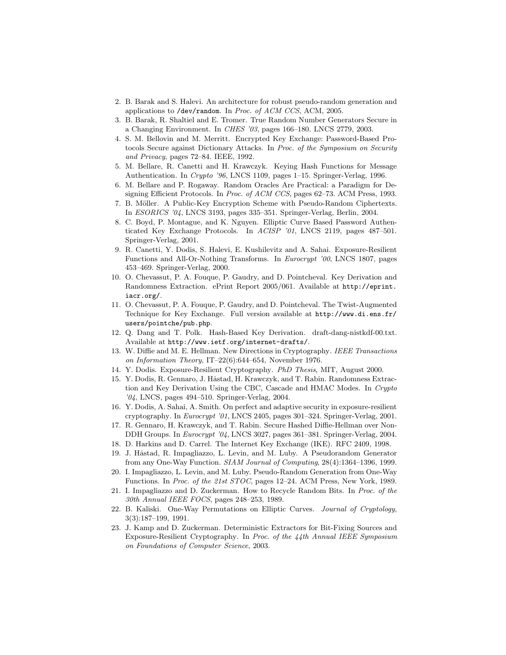- 2. B. Barak and S. Halevi. An architecture for robust pseudo-random generation and applications to /dev/random. In Proc. of ACM CCS, ACM, 2005.
- 3. B. Barak, R. Shaltiel and E. Tromer. True Random Number Generators Secure in a Changing Environment. In CHES '03, pages 166–180. LNCS 2779, 2003.
- 4. S. M. Bellovin and M. Merritt. Encrypted Key Exchange: Password-Based Protocols Secure against Dictionary Attacks. In Proc. of the Symposium on Security and Privacy, pages 72–84. IEEE, 1992.
- 5. M. Bellare, R. Canetti and H. Krawczyk. Keying Hash Functions for Message Authentication. In Crypto '96, LNCS 1109, pages 1–15. Springer-Verlag, 1996.
- 6. M. Bellare and P. Rogaway. Random Oracles Are Practical: a Paradigm for Designing Efficient Protocols. In Proc. of ACM CCS, pages 62–73. ACM Press, 1993.
- 7. B. Möller. A Public-Key Encryption Scheme with Pseudo-Random Ciphertexts. In ESORICS '04, LNCS 3193, pages 335–351. Springer-Verlag, Berlin, 2004.
- 8. C. Boyd, P. Montague, and K. Nguyen. Elliptic Curve Based Password Authenticated Key Exchange Protocols. In ACISP '01, LNCS 2119, pages 487–501. Springer-Verlag, 2001.
- 9. R. Canetti, Y. Dodis, S. Halevi, E. Kushilevitz and A. Sahai. Exposure-Resilient Functions and All-Or-Nothing Transforms. In Eurocrypt '00, LNCS 1807, pages 453–469. Springer-Verlag, 2000.
- 10. O. Chevassut, P. A. Fouque, P. Gaudry, and D. Pointcheval. Key Derivation and Randomness Extraction. ePrint Report 2005/061. Available at http://eprint. iacr.org/.
- 11. O. Chevassut, P. A. Fouque, P. Gaudry, and D. Pointcheval. The Twist-Augmented Technique for Key Exchange. Full version available at http://www.di.ens.fr/ users/pointche/pub.php.
- 12. Q. Dang and T. Polk. Hash-Based Key Derivation. draft-dang-nistkdf-00.txt. Available at http://www.ietf.org/internet-drafts/.
- 13. W. Diffie and M. E. Hellman. New Directions in Cryptography. IEEE Transactions on Information Theory, IT–22(6):644–654, November 1976.
- 14. Y. Dodis. Exposure-Resilient Cryptography. PhD Thesis, MIT, August 2000.
- 15. Y. Dodis, R. Gennaro, J. Håstad, H. Krawczyk, and T. Rabin. Randomness Extraction and Key Derivation Using the CBC, Cascade and HMAC Modes. In Crypto '04, LNCS, pages 494–510. Springer-Verlag, 2004.
- 16. Y. Dodis, A. Sahai, A. Smith. On perfect and adaptive security in exposure-resilient cryptography. In Eurocrypt '01, LNCS 2405, pages 301–324. Springer-Verlag, 2001.
- 17. R. Gennaro, H. Krawczyk, and T. Rabin. Secure Hashed Diffie-Hellman over Non-DDH Groups. In Eurocrypt '04, LNCS 3027, pages 361–381. Springer-Verlag, 2004.
- 18. D. Harkins and D. Carrel. The Internet Key Exchange (IKE). RFC 2409, 1998.
- 19. J. Håstad, R. Impagliazzo, L. Levin, and M. Luby. A Pseudorandom Generator from any One-Way Function. SIAM Journal of Computing, 28(4):1364–1396, 1999.
- 20. I. Impagliazzo, L. Levin, and M. Luby. Pseudo-Random Generation from One-Way Functions. In Proc. of the 21st STOC, pages 12–24. ACM Press, New York, 1989.
- 21. I. Impagliazzo and D. Zuckerman. How to Recycle Random Bits. In Proc. of the 30th Annual IEEE FOCS, pages 248–253, 1989.
- 22. B. Kaliski. One-Way Permutations on Elliptic Curves. Journal of Cryptology, 3(3):187–199, 1991.
- 23. J. Kamp and D. Zuckerman. Deterministic Extractors for Bit-Fixing Sources and Exposure-Resilient Cryptography. In Proc. of the 44th Annual IEEE Symposium on Foundations of Computer Science, 2003.